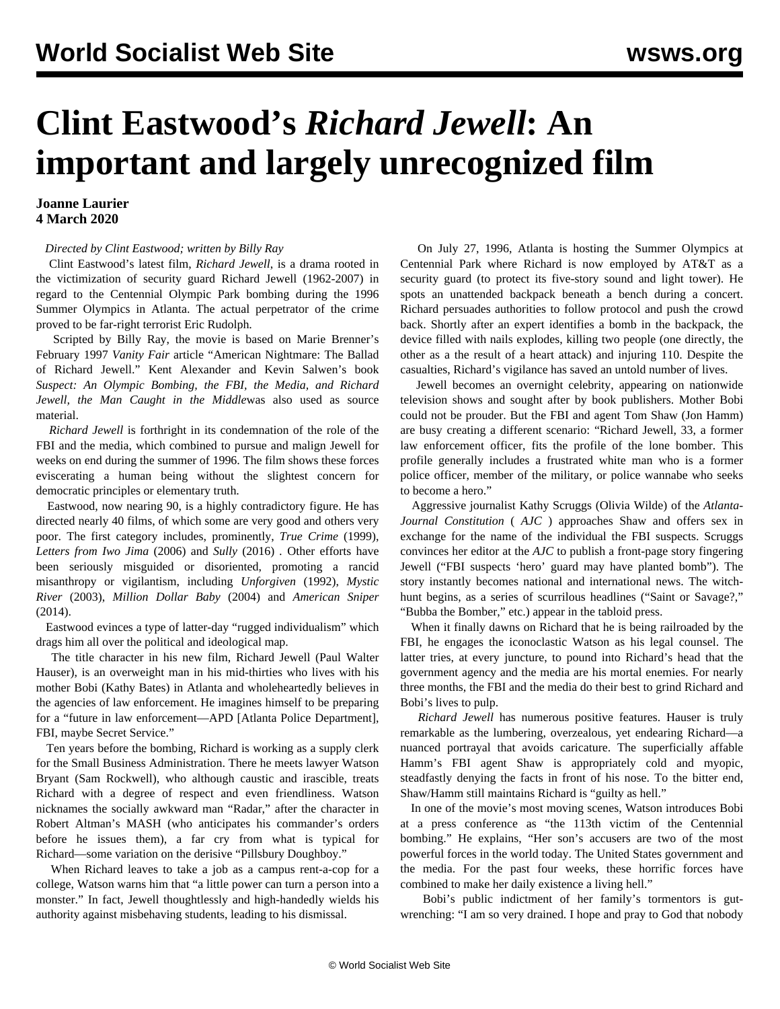## **Clint Eastwood's** *Richard Jewell***: An important and largely unrecognized film**

## **Joanne Laurier 4 March 2020**

## *Directed by Clint Eastwood; written by Billy Ray*

 Clint Eastwood's latest film, *Richard Jewell*, is a drama rooted in the victimization of security guard Richard Jewell (1962-2007) in regard to the Centennial Olympic Park bombing during the 1996 Summer Olympics in Atlanta. The actual perpetrator of the crime proved to be far-right terrorist Eric Rudolph.

 Scripted by Billy Ray, the movie is based on Marie Brenner's February 1997 *Vanity Fair* article "American Nightmare: The Ballad of Richard Jewell." Kent Alexander and Kevin Salwen's book *Suspect: An Olympic Bombing, the FBI, the Media, and Richard Jewell, the Man Caught in the Middle*was also used as source material.

 *Richard Jewell* is forthright in its condemnation of the role of the FBI and the media, which combined to pursue and malign Jewell for weeks on end during the summer of 1996. The film shows these forces eviscerating a human being without the slightest concern for democratic principles or elementary truth.

 Eastwood, now nearing 90, is a highly contradictory figure. He has directed nearly 40 films, of which some are very good and others very poor. The first category includes, prominently, *True Crime* (1999), *Letters from Iwo Jima* (2006) and *Sully* (2016) *.* Other efforts have been seriously misguided or disoriented, promoting a rancid misanthropy or vigilantism, including *Unforgiven* (1992), *Mystic River* (2003), *Million Dollar Baby* (2004) and *American Sniper* (2014).

 Eastwood evinces a type of latter-day "rugged individualism" which drags him all over the political and ideological map.

 The title character in his new film, Richard Jewell (Paul Walter Hauser), is an overweight man in his mid-thirties who lives with his mother Bobi (Kathy Bates) in Atlanta and wholeheartedly believes in the agencies of law enforcement. He imagines himself to be preparing for a "future in law enforcement—APD [Atlanta Police Department], FBI, maybe Secret Service."

 Ten years before the bombing, Richard is working as a supply clerk for the Small Business Administration. There he meets lawyer Watson Bryant (Sam Rockwell), who although caustic and irascible, treats Richard with a degree of respect and even friendliness. Watson nicknames the socially awkward man "Radar," after the character in Robert Altman's MASH (who anticipates his commander's orders before he issues them), a far cry from what is typical for Richard—some variation on the derisive "Pillsbury Doughboy."

 When Richard leaves to take a job as a campus rent-a-cop for a college, Watson warns him that "a little power can turn a person into a monster." In fact, Jewell thoughtlessly and high-handedly wields his authority against misbehaving students, leading to his dismissal.

 On July 27, 1996, Atlanta is hosting the Summer Olympics at Centennial Park where Richard is now employed by AT&T as a security guard (to protect its five-story sound and light tower). He spots an unattended backpack beneath a bench during a concert. Richard persuades authorities to follow protocol and push the crowd back. Shortly after an expert identifies a bomb in the backpack, the device filled with nails explodes, killing two people (one directly, the other as a the result of a heart attack) and injuring 110. Despite the casualties, Richard's vigilance has saved an untold number of lives.

 Jewell becomes an overnight celebrity, appearing on nationwide television shows and sought after by book publishers. Mother Bobi could not be prouder. But the FBI and agent Tom Shaw (Jon Hamm) are busy creating a different scenario: "Richard Jewell, 33, a former law enforcement officer, fits the profile of the lone bomber. This profile generally includes a frustrated white man who is a former police officer, member of the military, or police wannabe who seeks to become a hero."

 Aggressive journalist Kathy Scruggs (Olivia Wilde) of the *Atlanta-Journal Constitution* ( *AJC* ) approaches Shaw and offers sex in exchange for the name of the individual the FBI suspects. Scruggs convinces her editor at the *AJC* to publish a front-page story fingering Jewell ("FBI suspects 'hero' guard may have planted bomb"). The story instantly becomes national and international news. The witchhunt begins, as a series of scurrilous headlines ("Saint or Savage?," "Bubba the Bomber," etc.) appear in the tabloid press.

 When it finally dawns on Richard that he is being railroaded by the FBI, he engages the iconoclastic Watson as his legal counsel. The latter tries, at every juncture, to pound into Richard's head that the government agency and the media are his mortal enemies. For nearly three months, the FBI and the media do their best to grind Richard and Bobi's lives to pulp.

 *Richard Jewell* has numerous positive features. Hauser is truly remarkable as the lumbering, overzealous, yet endearing Richard—a nuanced portrayal that avoids caricature. The superficially affable Hamm's FBI agent Shaw is appropriately cold and myopic, steadfastly denying the facts in front of his nose. To the bitter end, Shaw/Hamm still maintains Richard is "guilty as hell."

 In one of the movie's most moving scenes, Watson introduces Bobi at a press conference as "the 113th victim of the Centennial bombing." He explains, "Her son's accusers are two of the most powerful forces in the world today. The United States government and the media. For the past four weeks, these horrific forces have combined to make her daily existence a living hell."

 Bobi's public indictment of her family's tormentors is gutwrenching: "I am so very drained. I hope and pray to God that nobody